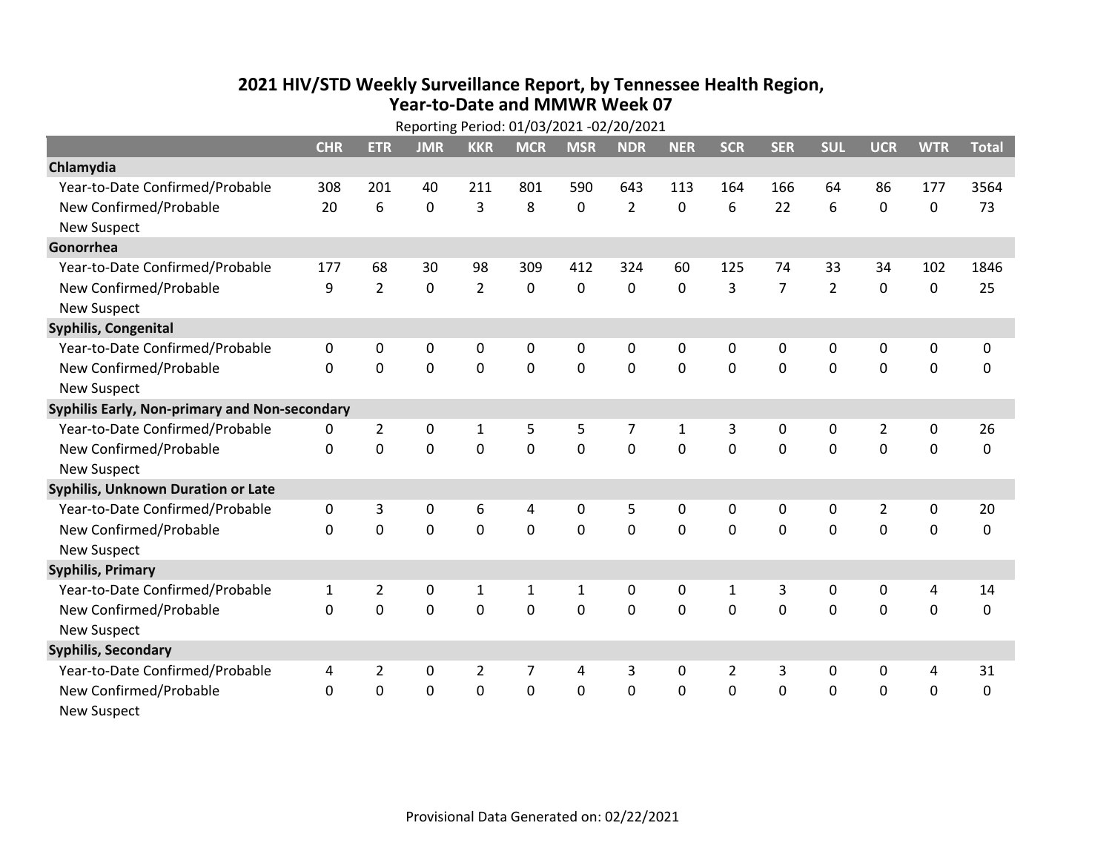## **2021 HIV /STD Weekly Surveillance Report, by Tennessee Health Region, Year‐to‐Date and MMWR Week 07** Reporting Period: 01/03/2021 ‐02/20/2021

| Reporting Period: 01/03/2021 -02/20/2021      |              |                |                |                |             |                |                |              |                |                |                |                |             |              |
|-----------------------------------------------|--------------|----------------|----------------|----------------|-------------|----------------|----------------|--------------|----------------|----------------|----------------|----------------|-------------|--------------|
|                                               | <b>CHR</b>   | <b>ETR</b>     | <b>JMR</b>     | <b>KKR</b>     | <b>MCR</b>  | <b>MSR</b>     | <b>NDR</b>     | <b>NER</b>   | <b>SCR</b>     | <b>SER</b>     | <b>SUL</b>     | <b>UCR</b>     | <b>WTR</b>  | <b>Total</b> |
| Chlamydia                                     |              |                |                |                |             |                |                |              |                |                |                |                |             |              |
| Year-to-Date Confirmed/Probable               | 308          | 201            | 40             | 211            | 801         | 590            | 643            | 113          | 164            | 166            | 64             | 86             | 177         | 3564         |
| New Confirmed/Probable                        | 20           | 6              | $\overline{0}$ | 3              | 8           | 0              | $\overline{2}$ | 0            | 6              | 22             | 6              | 0              | $\pmb{0}$   | 73           |
| <b>New Suspect</b>                            |              |                |                |                |             |                |                |              |                |                |                |                |             |              |
| Gonorrhea                                     |              |                |                |                |             |                |                |              |                |                |                |                |             |              |
| Year-to-Date Confirmed/Probable               | 177          | 68             | 30             | 98             | 309         | 412            | 324            | 60           | 125            | 74             | 33             | 34             | 102         | 1846         |
| New Confirmed/Probable                        | 9            | $\overline{2}$ | 0              | $\overline{2}$ | 0           | 0              | 0              | 0            | 3              | $\overline{7}$ | $\overline{2}$ | 0              | $\pmb{0}$   | 25           |
| <b>New Suspect</b>                            |              |                |                |                |             |                |                |              |                |                |                |                |             |              |
| <b>Syphilis, Congenital</b>                   |              |                |                |                |             |                |                |              |                |                |                |                |             |              |
| Year-to-Date Confirmed/Probable               | $\mathbf 0$  | 0              | $\mathbf 0$    | 0              | 0           | 0              | 0              | 0            | 0              | 0              | $\mathbf 0$    | 0              | $\pmb{0}$   | 0            |
| New Confirmed/Probable                        | $\Omega$     | $\overline{0}$ | $\mathbf 0$    | $\overline{0}$ | $\mathbf 0$ | $\mathbf 0$    | 0              | $\Omega$     | $\mathbf 0$    | $\mathbf 0$    | $\mathbf 0$    | 0              | $\mathbf 0$ | 0            |
| <b>New Suspect</b>                            |              |                |                |                |             |                |                |              |                |                |                |                |             |              |
| Syphilis Early, Non-primary and Non-secondary |              |                |                |                |             |                |                |              |                |                |                |                |             |              |
| Year-to-Date Confirmed/Probable               | 0            | $\overline{2}$ | $\mathbf 0$    | $\mathbf{1}$   | 5           | 5              | 7              | $\mathbf{1}$ | 3              | 0              | $\mathbf 0$    | $\overline{2}$ | 0           | 26           |
| New Confirmed/Probable                        | $\mathbf{0}$ | $\overline{0}$ | $\mathbf 0$    | $\overline{0}$ | $\mathbf 0$ | $\mathbf 0$    | 0              | $\Omega$     | $\mathbf 0$    | $\mathbf 0$    | 0              | 0              | $\mathbf 0$ | 0            |
| <b>New Suspect</b>                            |              |                |                |                |             |                |                |              |                |                |                |                |             |              |
| <b>Syphilis, Unknown Duration or Late</b>     |              |                |                |                |             |                |                |              |                |                |                |                |             |              |
| Year-to-Date Confirmed/Probable               | $\pmb{0}$    | 3              | $\mathbf 0$    | 6              | 4           | 0              | 5              | 0            | 0              | 0              | 0              | $\overline{2}$ | $\mathbf 0$ | 20           |
| New Confirmed/Probable                        | $\Omega$     | $\overline{0}$ | $\Omega$       | $\overline{0}$ | $\mathbf 0$ | $\Omega$       | 0              | $\Omega$     | $\Omega$       | $\Omega$       | $\mathbf 0$    | 0              | $\mathbf 0$ | 0            |
| <b>New Suspect</b>                            |              |                |                |                |             |                |                |              |                |                |                |                |             |              |
| <b>Syphilis, Primary</b>                      |              |                |                |                |             |                |                |              |                |                |                |                |             |              |
| Year-to-Date Confirmed/Probable               | 1            | $\overline{2}$ | 0              | 1              | 1           | 1              | 0              | 0            | 1              | 3              | 0              | 0              | 4           | 14           |
| New Confirmed/Probable                        | $\mathbf 0$  | $\overline{0}$ | $\mathbf 0$    | $\overline{0}$ | $\mathbf 0$ | $\overline{0}$ | 0              | $\Omega$     | $\mathbf 0$    | $\mathbf 0$    | $\mathbf 0$    | 0              | $\mathbf 0$ | 0            |
| <b>New Suspect</b>                            |              |                |                |                |             |                |                |              |                |                |                |                |             |              |
| <b>Syphilis, Secondary</b>                    |              |                |                |                |             |                |                |              |                |                |                |                |             |              |
| Year-to-Date Confirmed/Probable               | 4            | $\overline{2}$ | 0              | $\overline{2}$ | 7           | 4              | 3              | $\Omega$     | $\overline{2}$ | 3              | 0              | 0              | 4           | 31           |
| New Confirmed/Probable                        | $\Omega$     | $\overline{0}$ | $\overline{0}$ | $\overline{0}$ | 0           | $\overline{0}$ | 0              | $\Omega$     | $\Omega$       | $\mathbf 0$    | $\mathbf 0$    | 0              | $\mathbf 0$ | $\mathbf 0$  |
| New Suspect                                   |              |                |                |                |             |                |                |              |                |                |                |                |             |              |